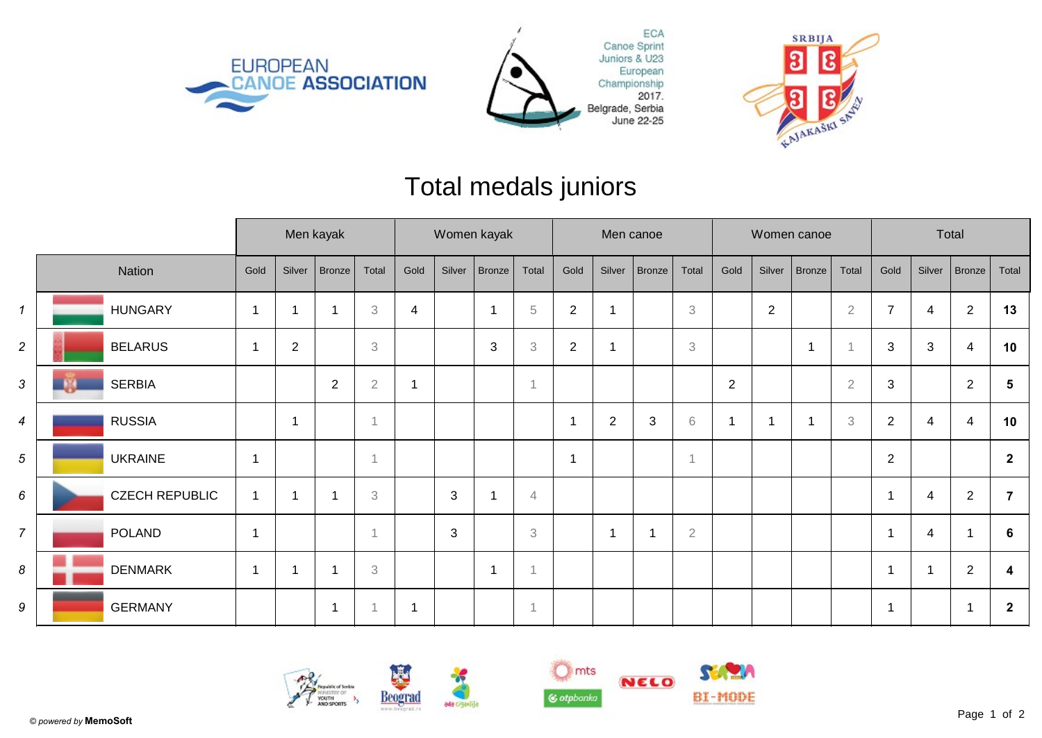





## Total medals juniors

|                |                       | Men kayak      |                |                          |                           | Women kayak    |              |        |                           | Men canoe      |                         |                |                           | Women canoe    |                |                          |                           | Total          |        |                |                         |
|----------------|-----------------------|----------------|----------------|--------------------------|---------------------------|----------------|--------------|--------|---------------------------|----------------|-------------------------|----------------|---------------------------|----------------|----------------|--------------------------|---------------------------|----------------|--------|----------------|-------------------------|
|                | Nation                | Gold           | Silver         | Bronze                   | Total                     | Gold           | Silver       | Bronze | Total                     | Gold           | Silver                  | Bronze         | Total                     | Gold           | Silver         | Bronze                   | Total                     | Gold           | Silver | Bronze         | Total                   |
| $\mathbf{1}$   | <b>HUNGARY</b>        | -1             |                | $\overline{\phantom{a}}$ | $\,3$                     | $\overline{4}$ |              | ٠      | $\,$ 5 $\,$               | $\overline{2}$ | 1                       |                | 3                         |                | $\overline{2}$ |                          | $\overline{2}$            | $\overline{7}$ | 4      | $\overline{2}$ | 13                      |
| $\overline{c}$ | <b>BELARUS</b>        | -1             | $\overline{2}$ |                          | $\ensuremath{\mathbf{3}}$ |                |              | 3      | $\ensuremath{\mathsf{3}}$ | $\sqrt{2}$     | $\overline{\mathbf{1}}$ |                | $\ensuremath{\mathbf{3}}$ |                |                | $\overline{\phantom{a}}$ |                           | $\mathbf{3}$   | 3      | 4              | 10                      |
| 3              | <b>SERBIA</b>         |                |                | $\overline{2}$           | $\sqrt{2}$                |                |              |        |                           |                |                         |                |                           | $\overline{2}$ |                |                          | $\overline{2}$            | 3              |        | $\overline{2}$ | 5                       |
| 4              | <b>RUSSIA</b>         |                | -1             |                          | -1                        |                |              |        |                           | -1             | $\overline{2}$          | $\mathbf{3}$   | 6                         |                |                | $\overline{\phantom{a}}$ | $\ensuremath{\mathbf{3}}$ | $\overline{2}$ | 4      | 4              | 10                      |
| 5              | <b>UKRAINE</b>        | $\mathbf 1$    |                |                          |                           |                |              |        |                           | 1              |                         |                | $\mathbf{1}$              |                |                |                          |                           | $\overline{2}$ |        |                | $\overline{2}$          |
| 6              | <b>CZECH REPUBLIC</b> | $\mathbf 1$    |                | $\overline{\phantom{a}}$ | 3                         |                | $\mathbf{3}$ |        | $\overline{4}$            |                |                         |                |                           |                |                |                          |                           | $\overline{1}$ | 4      | $\overline{2}$ | 7                       |
| $\overline{7}$ | <b>POLAND</b>         | $\overline{1}$ |                |                          | $\overline{1}$            |                | $\mathbf{3}$ |        | 3                         |                | -1                      | $\overline{1}$ | $\sqrt{2}$                |                |                |                          |                           | $\overline{1}$ | 4      |                | 6                       |
| 8              | <b>DENMARK</b>        | $\mathbf{1}$   |                |                          | $\ensuremath{\mathsf{3}}$ |                |              |        |                           |                |                         |                |                           |                |                |                          |                           | $\overline{1}$ |        | $\overline{2}$ | 4                       |
| 9              | <b>GERMANY</b>        |                |                | $\overline{1}$           | -1                        |                |              |        |                           |                |                         |                |                           |                |                |                          |                           | 1              |        | -1             | $\overline{\mathbf{2}}$ |